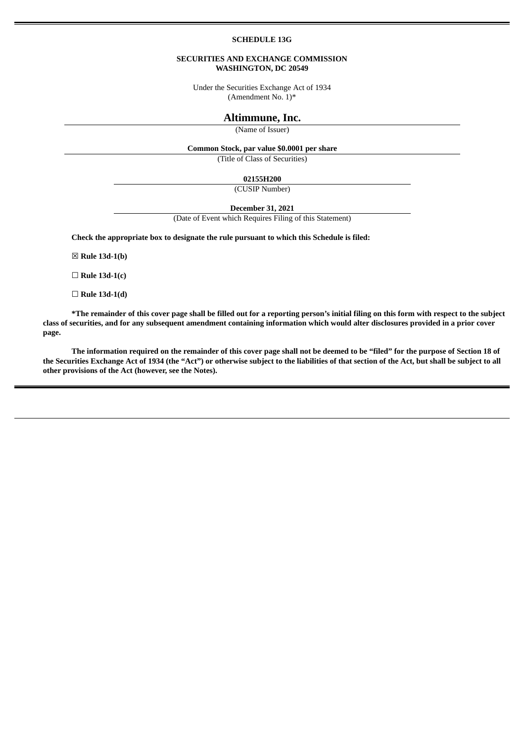#### **SCHEDULE 13G**

#### **SECURITIES AND EXCHANGE COMMISSION WASHINGTON, DC 20549**

Under the Securities Exchange Act of 1934 (Amendment No. 1)\*

### **Altimmune, Inc.**

(Name of Issuer)

## **Common Stock, par value \$0.0001 per share**

(Title of Class of Securities)

**02155H200**

(CUSIP Number)

**December 31, 2021**

(Date of Event which Requires Filing of this Statement)

**Check the appropriate box to designate the rule pursuant to which this Schedule is filed:**

☒ **Rule 13d-1(b)**

☐ **Rule 13d-1(c)**

☐ **Rule 13d-1(d)**

\*The remainder of this cover page shall be filled out for a reporting person's initial filing on this form with respect to the subject class of securities, and for any subsequent amendment containing information which would alter disclosures provided in a prior cover **page.**

The information required on the remainder of this cover page shall not be deemed to be "filed" for the purpose of Section 18 of the Securities Exchange Act of 1934 (the "Act") or otherwise subject to the liabilities of that section of the Act, but shall be subject to all **other provisions of the Act (however, see the Notes).**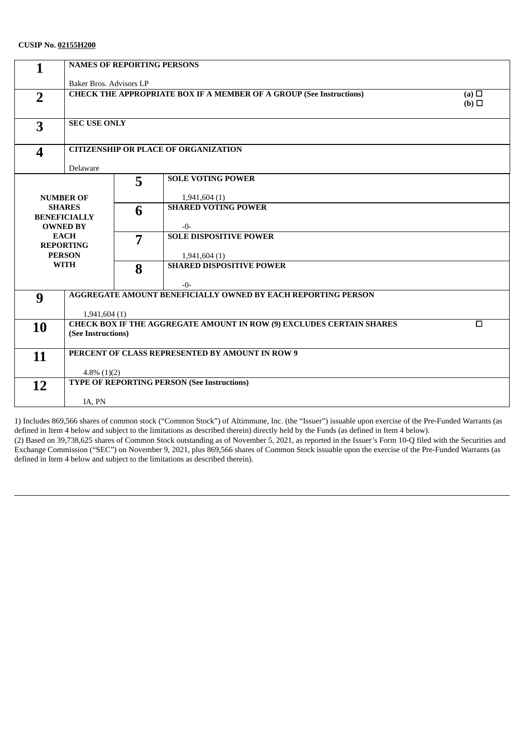| 1                       | <b>NAMES OF REPORTING PERSONS</b>                                                                           |   |                                                 |  |
|-------------------------|-------------------------------------------------------------------------------------------------------------|---|-------------------------------------------------|--|
|                         | Baker Bros. Advisors LP                                                                                     |   |                                                 |  |
| $\overline{2}$          | <b>CHECK THE APPROPRIATE BOX IF A MEMBER OF A GROUP (See Instructions)</b><br>(a) $\Box$<br>$(b)$ $\square$ |   |                                                 |  |
| 3                       | <b>SEC USE ONLY</b>                                                                                         |   |                                                 |  |
| $\overline{\mathbf{4}}$ | <b>CITIZENSHIP OR PLACE OF ORGANIZATION</b><br>Delaware                                                     |   |                                                 |  |
|                         |                                                                                                             | 5 | <b>SOLE VOTING POWER</b>                        |  |
|                         | <b>NUMBER OF</b>                                                                                            |   | 1,941,604(1)                                    |  |
|                         | <b>SHARES</b><br><b>BENEFICIALLY</b>                                                                        | 6 | <b>SHARED VOTING POWER</b>                      |  |
|                         | <b>OWNED BY</b><br><b>EACH</b>                                                                              |   | $-0-$<br><b>SOLE DISPOSITIVE POWER</b>          |  |
|                         | <b>REPORTING</b>                                                                                            | 7 |                                                 |  |
| <b>PERSON</b>           |                                                                                                             |   | 1,941,604(1)                                    |  |
|                         | <b>WITH</b>                                                                                                 | 8 | <b>SHARED DISPOSITIVE POWER</b>                 |  |
|                         |                                                                                                             |   | $-0-$                                           |  |
| 9                       | AGGREGATE AMOUNT BENEFICIALLY OWNED BY EACH REPORTING PERSON                                                |   |                                                 |  |
|                         | 1,941,604(1)                                                                                                |   |                                                 |  |
| 10                      | <b>CHECK BOX IF THE AGGREGATE AMOUNT IN ROW (9) EXCLUDES CERTAIN SHARES</b><br>$\Box$                       |   |                                                 |  |
|                         | (See Instructions)                                                                                          |   |                                                 |  |
| 11                      |                                                                                                             |   | PERCENT OF CLASS REPRESENTED BY AMOUNT IN ROW 9 |  |
|                         | $4.8\%$ (1)(2)                                                                                              |   |                                                 |  |
| 12                      | <b>TYPE OF REPORTING PERSON (See Instructions)</b>                                                          |   |                                                 |  |
|                         |                                                                                                             |   |                                                 |  |
|                         | IA, PN                                                                                                      |   |                                                 |  |

1) Includes 869,566 shares of common stock ("Common Stock") of Altimmune, Inc. (the "Issuer") issuable upon exercise of the Pre-Funded Warrants (as defined in Item 4 below and subject to the limitations as described therein) directly held by the Funds (as defined in Item 4 below). (2) Based on 39,738,625 shares of Common Stock outstanding as of November 5, 2021, as reported in the Issuer's Form 10-Q filed with the Securities and Exchange Commission ("SEC") on November 9, 2021, plus 869,566 shares of Common Stock issuable upon the exercise of the Pre-Funded Warrants (as defined in Item 4 below and subject to the limitations as described therein).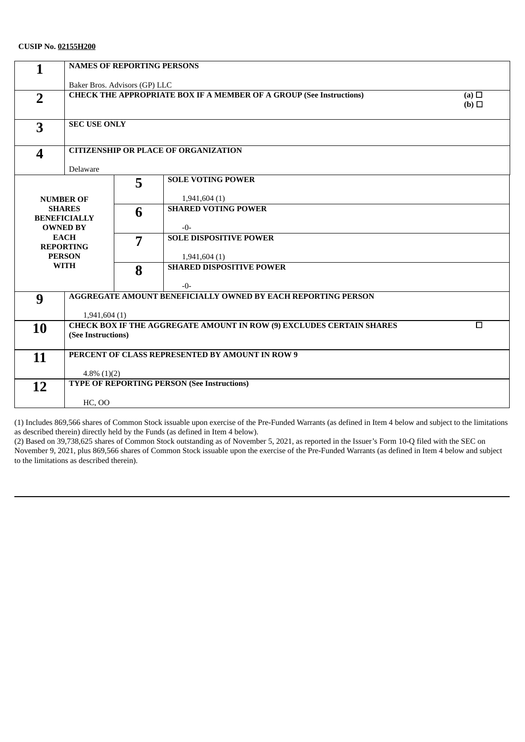| $\mathbf{1}$            | <b>NAMES OF REPORTING PERSONS</b>                                                               |   |                                        |  |
|-------------------------|-------------------------------------------------------------------------------------------------|---|----------------------------------------|--|
|                         | Baker Bros. Advisors (GP) LLC                                                                   |   |                                        |  |
| $\overline{2}$          | <b>CHECK THE APPROPRIATE BOX IF A MEMBER OF A GROUP (See Instructions)</b><br>(a) $\Box$<br>(b) |   |                                        |  |
| 3                       | <b>SEC USE ONLY</b>                                                                             |   |                                        |  |
| $\overline{\mathbf{4}}$ | <b>CITIZENSHIP OR PLACE OF ORGANIZATION</b><br>Delaware                                         |   |                                        |  |
|                         |                                                                                                 | 5 | <b>SOLE VOTING POWER</b>               |  |
|                         | <b>NUMBER OF</b>                                                                                |   | 1,941,604(1)                           |  |
|                         | <b>SHARES</b><br><b>BENEFICIALLY</b>                                                            | 6 | <b>SHARED VOTING POWER</b>             |  |
|                         | <b>OWNED BY</b><br><b>EACH</b>                                                                  |   | $-0-$<br><b>SOLE DISPOSITIVE POWER</b> |  |
|                         | <b>REPORTING</b>                                                                                | 7 |                                        |  |
|                         | <b>PERSON</b>                                                                                   |   | 1,941,604(1)                           |  |
|                         | <b>WITH</b>                                                                                     | 8 | <b>SHARED DISPOSITIVE POWER</b>        |  |
|                         |                                                                                                 |   | $-0-$                                  |  |
| 9                       | <b>AGGREGATE AMOUNT BENEFICIALLY OWNED BY EACH REPORTING PERSON</b>                             |   |                                        |  |
|                         | 1,941,604(1)                                                                                    |   |                                        |  |
| <b>10</b>               | CHECK BOX IF THE AGGREGATE AMOUNT IN ROW (9) EXCLUDES CERTAIN SHARES<br>$\Box$                  |   |                                        |  |
| (See Instructions)      |                                                                                                 |   |                                        |  |
|                         | PERCENT OF CLASS REPRESENTED BY AMOUNT IN ROW 9                                                 |   |                                        |  |
| 11                      |                                                                                                 |   |                                        |  |
|                         | $4.8\%$ (1)(2)                                                                                  |   |                                        |  |
| 12                      | <b>TYPE OF REPORTING PERSON (See Instructions)</b>                                              |   |                                        |  |
|                         | <b>HC, OO</b>                                                                                   |   |                                        |  |
|                         |                                                                                                 |   |                                        |  |

(1) Includes 869,566 shares of Common Stock issuable upon exercise of the Pre-Funded Warrants (as defined in Item 4 below and subject to the limitations as described therein) directly held by the Funds (as defined in Item 4 below).

(2) Based on 39,738,625 shares of Common Stock outstanding as of November 5, 2021, as reported in the Issuer's Form 10-Q filed with the SEC on November 9, 2021, plus 869,566 shares of Common Stock issuable upon the exercise of the Pre-Funded Warrants (as defined in Item 4 below and subject to the limitations as described therein).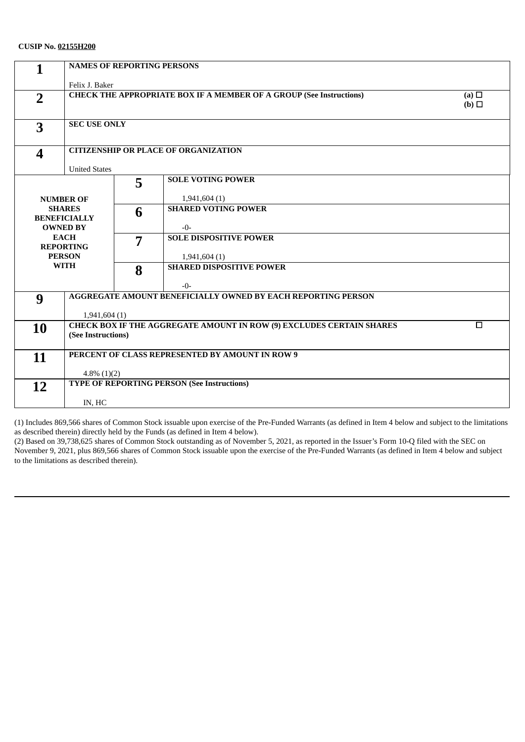| 1                       | <b>NAMES OF REPORTING PERSONS</b>                                                        |                    |                                                                     |     |  |
|-------------------------|------------------------------------------------------------------------------------------|--------------------|---------------------------------------------------------------------|-----|--|
|                         | Felix J. Baker                                                                           |                    |                                                                     |     |  |
| $\overline{2}$          | <b>CHECK THE APPROPRIATE BOX IF A MEMBER OF A GROUP (See Instructions)</b><br>(a) $\Box$ |                    |                                                                     |     |  |
|                         |                                                                                          |                    |                                                                     | (b) |  |
|                         |                                                                                          |                    |                                                                     |     |  |
| 3                       | <b>SEC USE ONLY</b>                                                                      |                    |                                                                     |     |  |
| $\overline{\mathbf{4}}$ | <b>CITIZENSHIP OR PLACE OF ORGANIZATION</b>                                              |                    |                                                                     |     |  |
|                         | <b>United States</b>                                                                     |                    |                                                                     |     |  |
|                         |                                                                                          | 5                  | <b>SOLE VOTING POWER</b>                                            |     |  |
|                         |                                                                                          |                    |                                                                     |     |  |
|                         | <b>NUMBER OF</b>                                                                         |                    | 1,941,604(1)                                                        |     |  |
|                         | <b>SHARES</b><br><b>BENEFICIALLY</b>                                                     | 6                  | <b>SHARED VOTING POWER</b>                                          |     |  |
|                         | <b>OWNED BY</b>                                                                          |                    | $-0-$                                                               |     |  |
|                         | <b>EACH</b>                                                                              | 7                  | <b>SOLE DISPOSITIVE POWER</b>                                       |     |  |
|                         | <b>REPORTING</b>                                                                         |                    |                                                                     |     |  |
|                         | <b>PERSON</b>                                                                            |                    | 1,941,604(1)                                                        |     |  |
|                         | <b>WITH</b>                                                                              | 8                  | <b>SHARED DISPOSITIVE POWER</b>                                     |     |  |
|                         |                                                                                          |                    | $-0-$                                                               |     |  |
| 9                       |                                                                                          |                    | <b>AGGREGATE AMOUNT BENEFICIALLY OWNED BY EACH REPORTING PERSON</b> |     |  |
|                         | 1,941,604(1)                                                                             |                    |                                                                     |     |  |
| <b>10</b>               | CHECK BOX IF THE AGGREGATE AMOUNT IN ROW (9) EXCLUDES CERTAIN SHARES<br>$\Box$           |                    |                                                                     |     |  |
|                         |                                                                                          | (See Instructions) |                                                                     |     |  |
|                         |                                                                                          |                    |                                                                     |     |  |
| 11                      | PERCENT OF CLASS REPRESENTED BY AMOUNT IN ROW 9                                          |                    |                                                                     |     |  |
|                         | $4.8\%$ (1)(2)                                                                           |                    |                                                                     |     |  |
| 12                      | <b>TYPE OF REPORTING PERSON (See Instructions)</b>                                       |                    |                                                                     |     |  |
|                         |                                                                                          |                    |                                                                     |     |  |
|                         | IN, HC                                                                                   |                    |                                                                     |     |  |

(1) Includes 869,566 shares of Common Stock issuable upon exercise of the Pre-Funded Warrants (as defined in Item 4 below and subject to the limitations as described therein) directly held by the Funds (as defined in Item 4 below).

(2) Based on 39,738,625 shares of Common Stock outstanding as of November 5, 2021, as reported in the Issuer's Form 10-Q filed with the SEC on November 9, 2021, plus 869,566 shares of Common Stock issuable upon the exercise of the Pre-Funded Warrants (as defined in Item 4 below and subject to the limitations as described therein).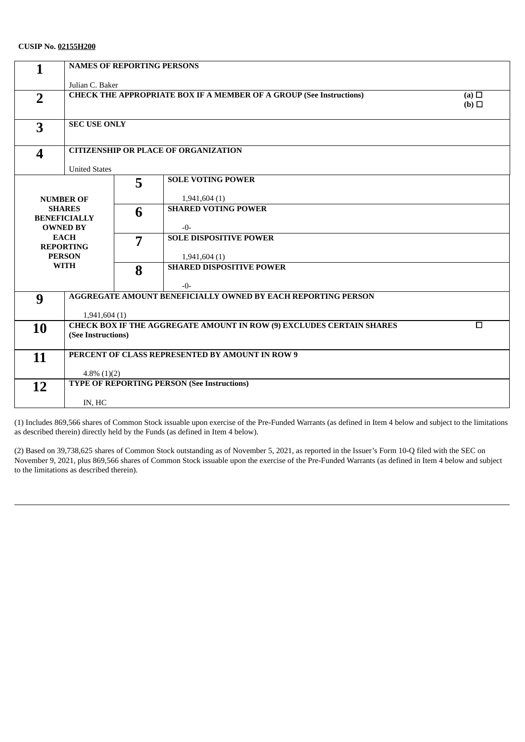| 1                       | <b>NAMES OF REPORTING PERSONS</b>                                                        |                     |                                                 |  |  |
|-------------------------|------------------------------------------------------------------------------------------|---------------------|-------------------------------------------------|--|--|
|                         | Julian C. Baker                                                                          |                     |                                                 |  |  |
| $\overline{2}$          | <b>CHECK THE APPROPRIATE BOX IF A MEMBER OF A GROUP (See Instructions)</b><br>(a) $\Box$ |                     |                                                 |  |  |
|                         | (b)                                                                                      |                     |                                                 |  |  |
|                         |                                                                                          | <b>SEC USE ONLY</b> |                                                 |  |  |
| 3                       |                                                                                          |                     |                                                 |  |  |
| $\overline{\mathbf{4}}$ | <b>CITIZENSHIP OR PLACE OF ORGANIZATION</b>                                              |                     |                                                 |  |  |
|                         | <b>United States</b>                                                                     |                     |                                                 |  |  |
|                         |                                                                                          | 5                   | <b>SOLE VOTING POWER</b>                        |  |  |
|                         | <b>NUMBER OF</b>                                                                         |                     | 1,941,604(1)                                    |  |  |
|                         | <b>SHARES</b>                                                                            | 6                   | <b>SHARED VOTING POWER</b>                      |  |  |
|                         | <b>BENEFICIALLY</b><br><b>OWNED BY</b>                                                   |                     | $-0-$                                           |  |  |
|                         | <b>EACH</b>                                                                              | 7                   | <b>SOLE DISPOSITIVE POWER</b>                   |  |  |
|                         | <b>REPORTING</b><br><b>PERSON</b>                                                        |                     |                                                 |  |  |
|                         | <b>WITH</b>                                                                              | 8                   | 1,941,604(1)<br><b>SHARED DISPOSITIVE POWER</b> |  |  |
|                         |                                                                                          |                     |                                                 |  |  |
|                         |                                                                                          |                     | $-0-$                                           |  |  |
| 9                       | AGGREGATE AMOUNT BENEFICIALLY OWNED BY EACH REPORTING PERSON                             |                     |                                                 |  |  |
|                         | 1,941,604(1)                                                                             |                     |                                                 |  |  |
| <b>10</b>               | CHECK BOX IF THE AGGREGATE AMOUNT IN ROW (9) EXCLUDES CERTAIN SHARES<br>$\Box$           |                     |                                                 |  |  |
|                         | (See Instructions)                                                                       |                     |                                                 |  |  |
| 11                      |                                                                                          |                     | PERCENT OF CLASS REPRESENTED BY AMOUNT IN ROW 9 |  |  |
|                         | $4.8\%$ (1)(2)                                                                           |                     |                                                 |  |  |
| 12                      | <b>TYPE OF REPORTING PERSON (See Instructions)</b>                                       |                     |                                                 |  |  |
|                         |                                                                                          |                     |                                                 |  |  |
|                         | IN, HC                                                                                   |                     |                                                 |  |  |

(1) Includes 869,566 shares of Common Stock issuable upon exercise of the Pre-Funded Warrants (as defined in Item 4 below and subject to the limitations as described therein) directly held by the Funds (as defined in Item 4 below).

(2) Based on 39,738,625 shares of Common Stock outstanding as of November 5, 2021, as reported in the Issuer's Form 10-Q filed with the SEC on November 9, 2021, plus 869,566 shares of Common Stock issuable upon the exercise of the Pre-Funded Warrants (as defined in Item 4 below and subject to the limitations as described therein).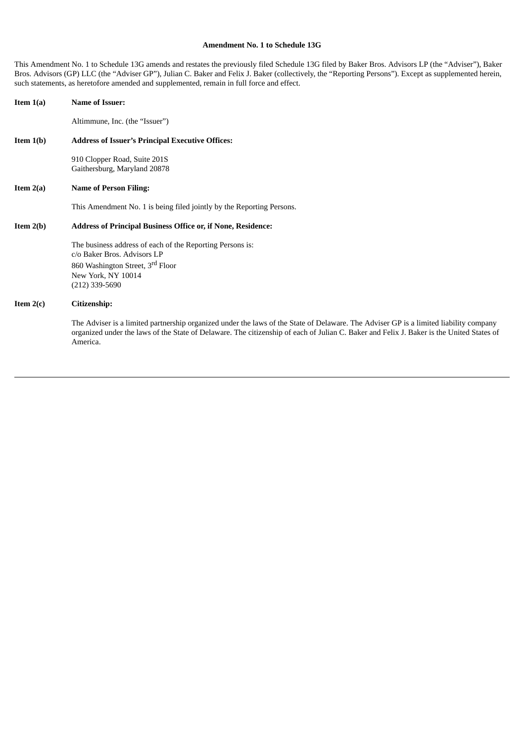### **Amendment No. 1 to Schedule 13G**

This Amendment No. 1 to Schedule 13G amends and restates the previously filed Schedule 13G filed by Baker Bros. Advisors LP (the "Adviser"), Baker Bros. Advisors (GP) LLC (the "Adviser GP"), Julian C. Baker and Felix J. Baker (collectively, the "Reporting Persons"). Except as supplemented herein, such statements, as heretofore amended and supplemented, remain in full force and effect.

| <b>Name of Issuer:</b>                                                                                                                                                                                                                                                                        |
|-----------------------------------------------------------------------------------------------------------------------------------------------------------------------------------------------------------------------------------------------------------------------------------------------|
| Altimmune, Inc. (the "Issuer")                                                                                                                                                                                                                                                                |
| <b>Address of Issuer's Principal Executive Offices:</b>                                                                                                                                                                                                                                       |
| 910 Clopper Road, Suite 201S<br>Gaithersburg, Maryland 20878                                                                                                                                                                                                                                  |
| <b>Name of Person Filing:</b>                                                                                                                                                                                                                                                                 |
| This Amendment No. 1 is being filed jointly by the Reporting Persons.                                                                                                                                                                                                                         |
| <b>Address of Principal Business Office or, if None, Residence:</b>                                                                                                                                                                                                                           |
| The business address of each of the Reporting Persons is:<br>c/o Baker Bros. Advisors LP<br>860 Washington Street, 3rd Floor<br>New York, NY 10014<br>$(212)$ 339-5690                                                                                                                        |
| Citizenship:                                                                                                                                                                                                                                                                                  |
| The Adviser is a limited partnership organized under the laws of the State of Delaware. The Adviser GP is a limited liability company<br>organized under the laws of the State of Delaware. The citizenship of each of Julian C. Baker and Felix J. Baker is the United States of<br>America. |
|                                                                                                                                                                                                                                                                                               |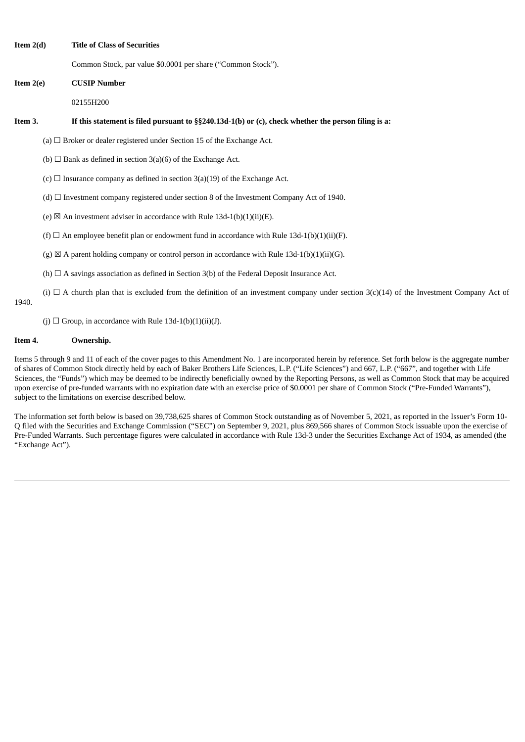**Item 2(d) Title of Class of Securities**

Common Stock, par value \$0.0001 per share ("Common Stock").

**Item 2(e) CUSIP Number**

02155H200

### Item 3. If this statement is filed pursuant to §§240.13d-1(b) or (c), check whether the person filing is a:

(a)  $\Box$  Broker or dealer registered under Section 15 of the Exchange Act.

(b)  $\Box$  Bank as defined in section 3(a)(6) of the Exchange Act.

(c)  $\Box$  Insurance company as defined in section 3(a)(19) of the Exchange Act.

(d)  $\Box$  Investment company registered under section 8 of the Investment Company Act of 1940.

(e)  $\boxtimes$  An investment adviser in accordance with Rule 13d-1(b)(1)(ii)(E).

(f)  $\Box$  An employee benefit plan or endowment fund in accordance with Rule 13d-1(b)(1)(ii)(F).

(g)  $\boxtimes$  A parent holding company or control person in accordance with Rule 13d-1(b)(1)(ii)(G).

(h)  $\Box$  A savings association as defined in Section 3(b) of the Federal Deposit Insurance Act.

(i)  $\Box$  A church plan that is excluded from the definition of an investment company under section 3(c)(14) of the Investment Company Act of 1940.

(j)  $\Box$  Group, in accordance with Rule 13d-1(b)(1)(ii)(J).

### **Item 4. Ownership.**

Items 5 through 9 and 11 of each of the cover pages to this Amendment No. 1 are incorporated herein by reference. Set forth below is the aggregate number of shares of Common Stock directly held by each of Baker Brothers Life Sciences, L.P. ("Life Sciences") and 667, L.P. ("667", and together with Life Sciences, the "Funds") which may be deemed to be indirectly beneficially owned by the Reporting Persons, as well as Common Stock that may be acquired upon exercise of pre-funded warrants with no expiration date with an exercise price of \$0.0001 per share of Common Stock ("Pre-Funded Warrants"), subject to the limitations on exercise described below.

The information set forth below is based on 39,738,625 shares of Common Stock outstanding as of November 5, 2021, as reported in the Issuer's Form 10- Q filed with the Securities and Exchange Commission ("SEC") on September 9, 2021, plus 869,566 shares of Common Stock issuable upon the exercise of Pre-Funded Warrants. Such percentage figures were calculated in accordance with Rule 13d-3 under the Securities Exchange Act of 1934, as amended (the "Exchange Act").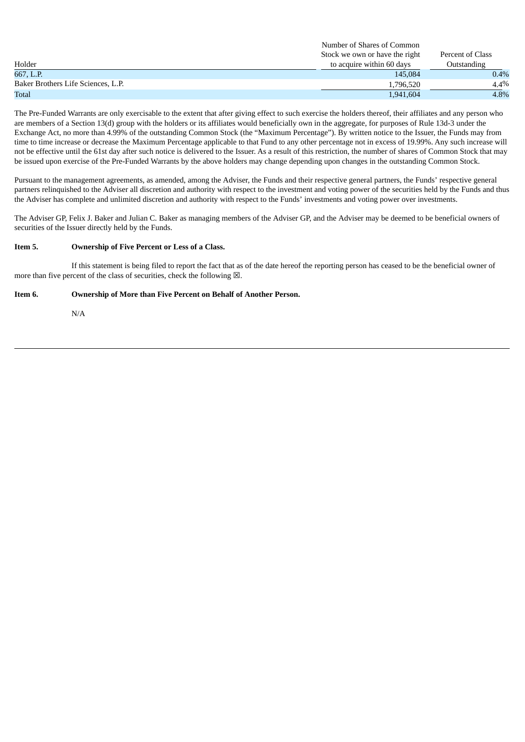|                                    | Number of Strates of Common    |                  |
|------------------------------------|--------------------------------|------------------|
|                                    | Stock we own or have the right | Percent of Class |
| Holder                             | to acquire within 60 days      | Outstanding      |
| 667, L.P.                          | 145.084                        | $0.4\%$          |
| Baker Brothers Life Sciences, L.P. | 1,796,520                      | 4.4%             |
| <b>Total</b>                       | 1,941,604                      | 4.8%             |

Number of Shares of Common

The Pre-Funded Warrants are only exercisable to the extent that after giving effect to such exercise the holders thereof, their affiliates and any person who are members of a Section 13(d) group with the holders or its affiliates would beneficially own in the aggregate, for purposes of Rule 13d-3 under the Exchange Act, no more than 4.99% of the outstanding Common Stock (the "Maximum Percentage"). By written notice to the Issuer, the Funds may from time to time increase or decrease the Maximum Percentage applicable to that Fund to any other percentage not in excess of 19.99%. Any such increase will not be effective until the 61st day after such notice is delivered to the Issuer. As a result of this restriction, the number of shares of Common Stock that may be issued upon exercise of the Pre-Funded Warrants by the above holders may change depending upon changes in the outstanding Common Stock.

Pursuant to the management agreements, as amended, among the Adviser, the Funds and their respective general partners, the Funds' respective general partners relinquished to the Adviser all discretion and authority with respect to the investment and voting power of the securities held by the Funds and thus the Adviser has complete and unlimited discretion and authority with respect to the Funds' investments and voting power over investments.

The Adviser GP, Felix J. Baker and Julian C. Baker as managing members of the Adviser GP, and the Adviser may be deemed to be beneficial owners of securities of the Issuer directly held by the Funds.

### **Item 5. Ownership of Five Percent or Less of a Class.**

If this statement is being filed to report the fact that as of the date hereof the reporting person has ceased to be the beneficial owner of more than five percent of the class of securities, check the following  $\boxtimes$ .

## **Item 6. Ownership of More than Five Percent on Behalf of Another Person.**

N/A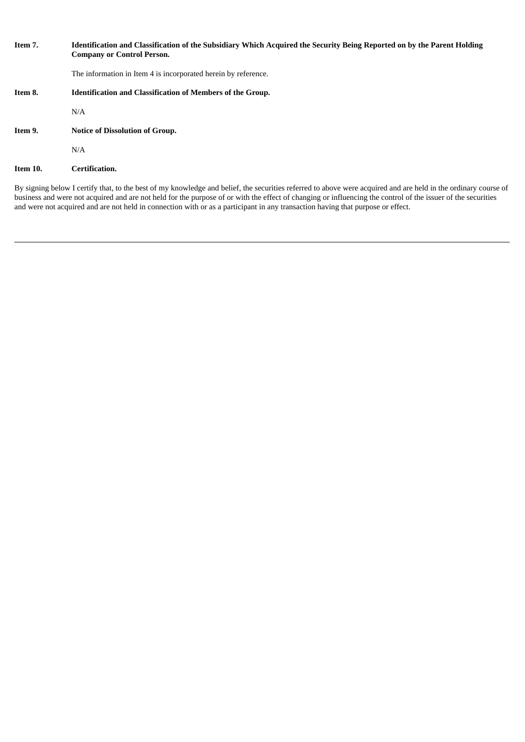| Item 7.  | Identification and Classification of the Subsidiary Which Acquired the Security Being Reported on by the Parent Holding<br><b>Company or Control Person.</b> |
|----------|--------------------------------------------------------------------------------------------------------------------------------------------------------------|
|          | The information in Item 4 is incorporated herein by reference.                                                                                               |
| Item 8.  | <b>Identification and Classification of Members of the Group.</b>                                                                                            |
|          | N/A                                                                                                                                                          |
| Item 9.  | <b>Notice of Dissolution of Group.</b>                                                                                                                       |
|          | N/A                                                                                                                                                          |
| Item 10. | Certification.                                                                                                                                               |

By signing below I certify that, to the best of my knowledge and belief, the securities referred to above were acquired and are held in the ordinary course of business and were not acquired and are not held for the purpose of or with the effect of changing or influencing the control of the issuer of the securities and were not acquired and are not held in connection with or as a participant in any transaction having that purpose or effect.